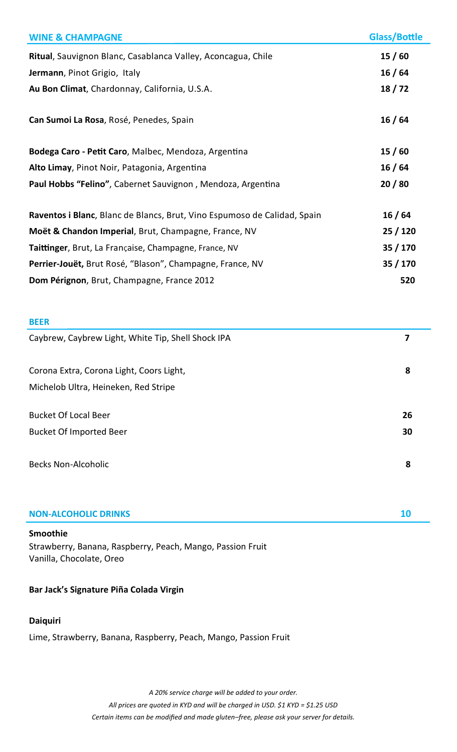| <b>WINE &amp; CHAMPAGNE</b>                                              | <b>Glass/Bottle</b> |
|--------------------------------------------------------------------------|---------------------|
| Ritual, Sauvignon Blanc, Casablanca Valley, Aconcagua, Chile             | 15/60               |
| Jermann, Pinot Grigio, Italy                                             | 16/64               |
| Au Bon Climat, Chardonnay, California, U.S.A.                            | 18/72               |
| Can Sumoi La Rosa, Rosé, Penedes, Spain                                  | 16/64               |
| Bodega Caro - Petit Caro, Malbec, Mendoza, Argentina                     | 15/60               |
| Alto Limay, Pinot Noir, Patagonia, Argentina                             | 16/64               |
| Paul Hobbs "Felino", Cabernet Sauvignon, Mendoza, Argentina              | 20/80               |
| Raventos i Blanc, Blanc de Blancs, Brut, Vino Espumoso de Calidad, Spain | 16/64               |
| Moët & Chandon Imperial, Brut, Champagne, France, NV                     | 25/120              |
| Taittinger, Brut, La Française, Champagne, France, NV                    | 35/170              |
| Perrier-Jouët, Brut Rosé, "Blason", Champagne, France, NV                | 35/170              |
| Dom Pérignon, Brut, Champagne, France 2012                               | 520                 |

### **BEER**

| Caybrew, Caybrew Light, White Tip, Shell Shock IPA | 7  |
|----------------------------------------------------|----|
| Corona Extra, Corona Light, Coors Light,           | 8  |
| Michelob Ultra, Heineken, Red Stripe               |    |
| <b>Bucket Of Local Beer</b>                        | 26 |
| <b>Bucket Of Imported Beer</b>                     | 30 |
| <b>Becks Non-Alcoholic</b>                         | 8  |
|                                                    |    |

### **NON-ALCOHOLIC DRINKS 10**

### **Smoothie**

Strawberry, Banana, Raspberry, Peach, Mango, Passion Fruit Vanilla, Chocolate, Oreo

## **Bar Jack's Signature Piña Colada Virgin**

## **Daiquiri**

Lime, Strawberry, Banana, Raspberry, Peach, Mango, Passion Fruit

*A 20% service charge will be added to your order. All prices are quoted in KYD and will be charged in USD. \$1 KYD = \$1.25 USD Certain items can be modified and made gluten–free, please ask your server for details.*